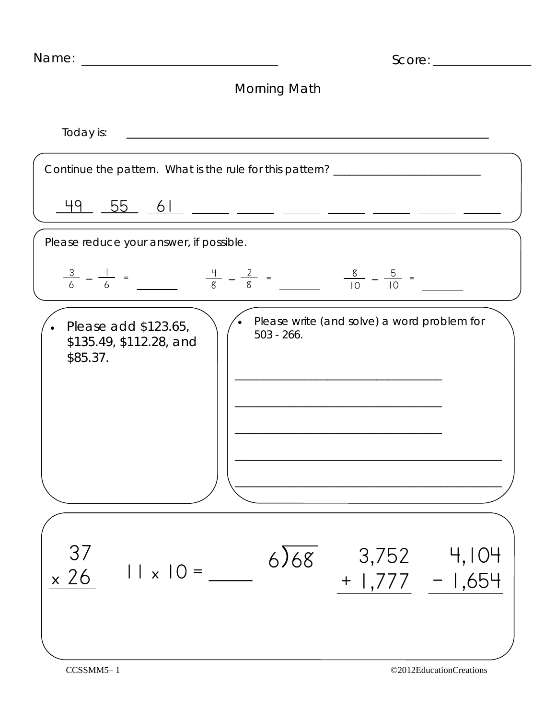| Name: | Score: |
|-------|--------|
|       |        |

## Morning Math

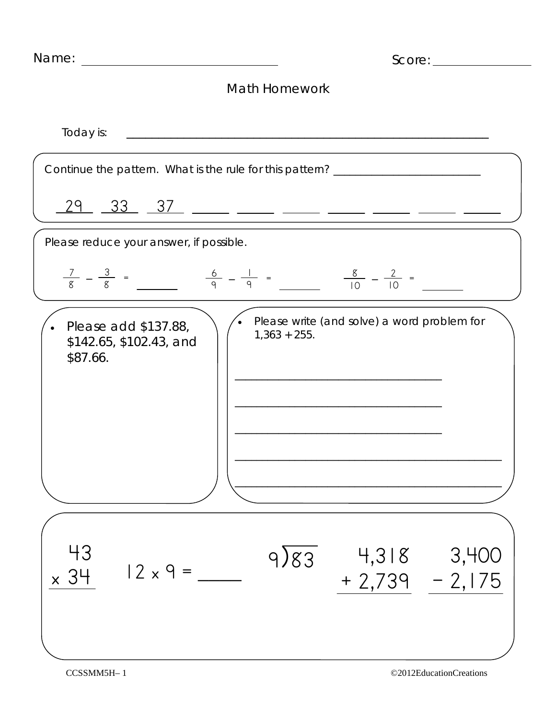| Name: | Score: |
|-------|--------|
|       |        |

## Math Homework

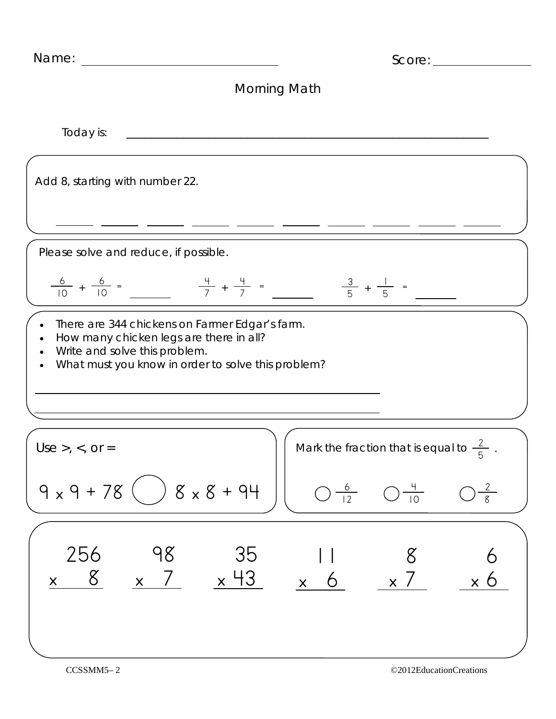| Name:                                                       |                                                                          |                                                                                                      |                                 | Score:                                                                                                                       |   |
|-------------------------------------------------------------|--------------------------------------------------------------------------|------------------------------------------------------------------------------------------------------|---------------------------------|------------------------------------------------------------------------------------------------------------------------------|---|
|                                                             |                                                                          | Morning Math                                                                                         |                                 |                                                                                                                              |   |
| Today is:                                                   |                                                                          |                                                                                                      |                                 |                                                                                                                              |   |
| Add 8, starting with number 22.                             |                                                                          |                                                                                                      |                                 |                                                                                                                              |   |
|                                                             |                                                                          |                                                                                                      |                                 |                                                                                                                              |   |
| Please solve and reduce, if possible.                       |                                                                          |                                                                                                      |                                 |                                                                                                                              |   |
| $\frac{6}{10} + \frac{6}{10} =$                             |                                                                          | $\frac{4}{7} + \frac{4}{7} =$                                                                        | $\frac{3}{5}$ + -               |                                                                                                                              |   |
| $\bullet$                                                   | How many chicken legs are there in all?<br>Write and solve this problem. | There are 344 chickens on Farmer Edgar's farm.<br>What must you know in order to solve this problem? |                                 |                                                                                                                              |   |
| $Use >, <, or =$<br>$9 \times 9 + 78$ ( ) $8 \times 8 + 94$ |                                                                          |                                                                                                      |                                 | Mark the fraction that is equal to $\frac{2}{5}$ .<br>$\bigcirc \frac{6}{12}$ $\bigcirc \frac{4}{10}$ $\bigcirc \frac{2}{8}$ |   |
|                                                             |                                                                          |                                                                                                      |                                 |                                                                                                                              |   |
| 256                                                         | 98                                                                       | 35                                                                                                   | <u>x 8 x 7 x 43 x 6 x 7 x 6</u> | -8                                                                                                                           | 6 |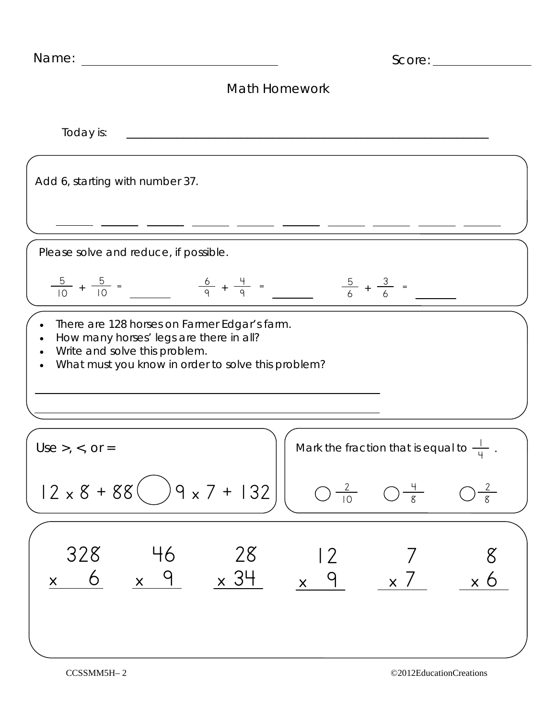| Name:<br>Score:                                                                                                                                                                             |
|---------------------------------------------------------------------------------------------------------------------------------------------------------------------------------------------|
| Math Homework                                                                                                                                                                               |
| Today is:                                                                                                                                                                                   |
| Add 6, starting with number 37.                                                                                                                                                             |
|                                                                                                                                                                                             |
| Please solve and reduce, if possible.                                                                                                                                                       |
| $\frac{5}{10} + \frac{5}{10} =$ $\frac{6}{9} + \frac{4}{9} =$<br>$\frac{5}{6}$ + $\frac{3}{6}$ =                                                                                            |
| There are 128 horses on Farmer Edgar's farm.<br>How many horses' legs are there in all?<br>$\bullet$<br>Write and solve this problem.<br>What must you know in order to solve this problem? |
| Mark the fraction that is equal to $\frac{1}{4}$ .<br>$Use > 0, 0, or =$                                                                                                                    |
| $12 \times 8 + 88$ $\left( )9 \times 7 + 132 \right)$<br>$\bigcirc \frac{2}{10}$ $\bigcirc \frac{4}{8}$ $\bigcirc \frac{2}{8}$                                                              |
| 328 46<br>$x$ 6 $x$ 9 $x$ 34 $x$ 9 $x$ 7 $x$ 6                                                                                                                                              |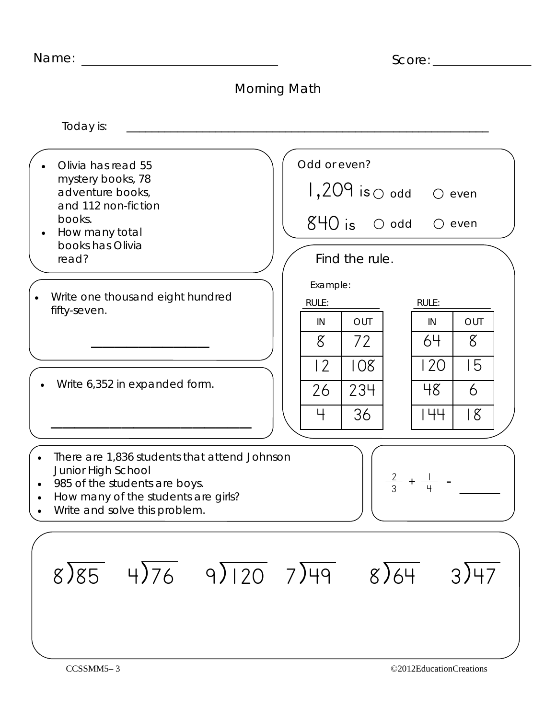| Name: |  |
|-------|--|
|-------|--|

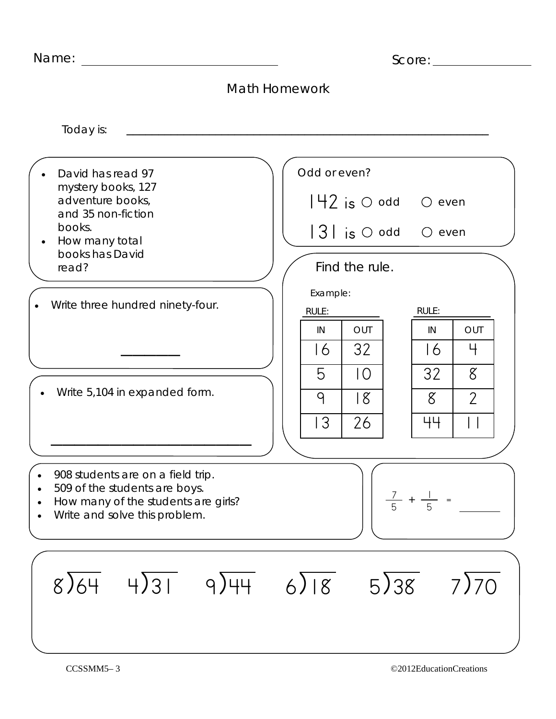|  | Name: |  |
|--|-------|--|
|  |       |  |

| Name: | Score: |
|-------|--------|
|       |        |

| <b>Math Homework</b>                                                                                                                                                 |                                                                                                                                                                 |  |  |  |
|----------------------------------------------------------------------------------------------------------------------------------------------------------------------|-----------------------------------------------------------------------------------------------------------------------------------------------------------------|--|--|--|
| Today is:                                                                                                                                                            |                                                                                                                                                                 |  |  |  |
| David has read 97<br>mystery books, 127<br>adventure books,<br>and 35 non-fiction<br>books.<br>How many total                                                        | Odd or even?<br>$ 42 $ is $\circ$ odd $\circ$<br>even<br>$ 3 $ is $\circlearrowright$ odd<br>$\bigcirc$<br>even                                                 |  |  |  |
| books has David<br>read?                                                                                                                                             | Find the rule.                                                                                                                                                  |  |  |  |
| Write three hundred ninety-four.<br>Write 5,104 in expanded form.                                                                                                    | Example:<br>RULE:<br>RULE:<br>OUT<br>OUT<br>IN<br>IN<br>32<br>4<br>16<br>16<br>32<br>$8^{\circ}$<br>5<br>IO.<br>$\overline{2}$<br>18<br>8<br>9<br>3<br>26<br>44 |  |  |  |
| 908 students are on a field trip.<br>509 of the students are boys.<br>$\bullet$<br>How many of the students are girls?<br>$\bullet$<br>Write and solve this problem. | $\frac{7}{5}$ + $\frac{1}{5}$ =                                                                                                                                 |  |  |  |
| $4\sqrt{31}$ 9/44<br>8)64                                                                                                                                            | $6\sqrt{8}$<br>5)38<br>7)70                                                                                                                                     |  |  |  |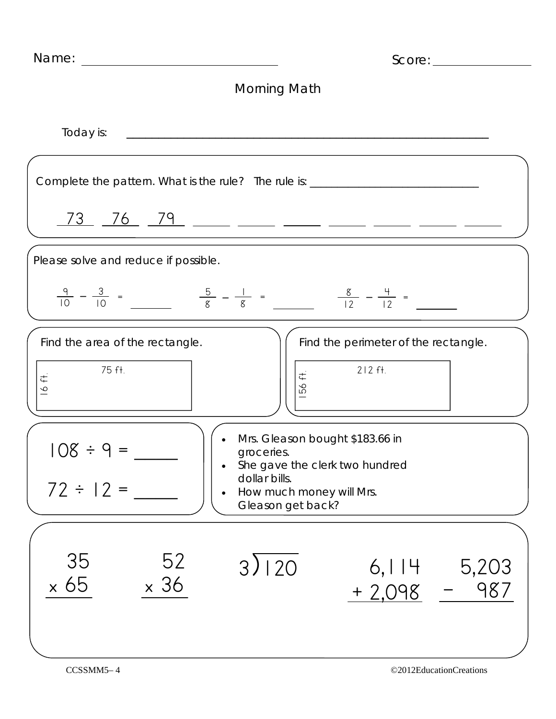| Name:<br><u> 1989 - Johann Harry Harry Harry Harry Harry Harry Harry Harry Harry Harry Harry Harry Harry Harry Harry Harry</u> | Score:                                                                                    |
|--------------------------------------------------------------------------------------------------------------------------------|-------------------------------------------------------------------------------------------|
|                                                                                                                                | Morning Math                                                                              |
| Today is:                                                                                                                      |                                                                                           |
|                                                                                                                                | Complete the pattern. What is the rule? The rule is: ___________________________          |
|                                                                                                                                | <u>73 76 79  —  —  —  —  —  —  —  —</u>                                                   |
| Please solve and reduce if possible.                                                                                           |                                                                                           |
|                                                                                                                                | $\frac{9}{10} - \frac{3}{10} = \frac{5}{8} - \frac{1}{8} = \frac{8}{12} - \frac{4}{12} =$ |
| Find the area of the rectangle.                                                                                                | Find the perimeter of the rectangle.                                                      |
| 75 ft.<br>$\ddot{\mp}$<br>$\infty$                                                                                             | $212$ ft.<br>56 ft.                                                                       |
| $108 \div 9 =$                                                                                                                 | Mrs. Gleason bought \$183.66 in<br>groceries.<br>She gave the clerk two hundred           |
| $72 \div 12 =$                                                                                                                 | dollar bills.<br>How much money will Mrs.<br>$\bullet$<br>Gleason get back?               |
| 52<br>35                                                                                                                       |                                                                                           |
| $\times$ 36<br>$\times 65$                                                                                                     | 3)120<br>5,203<br>6,114<br>987<br>$+2,098$                                                |
|                                                                                                                                |                                                                                           |
| CCSSMM5-4                                                                                                                      | ©2012EducationCreations                                                                   |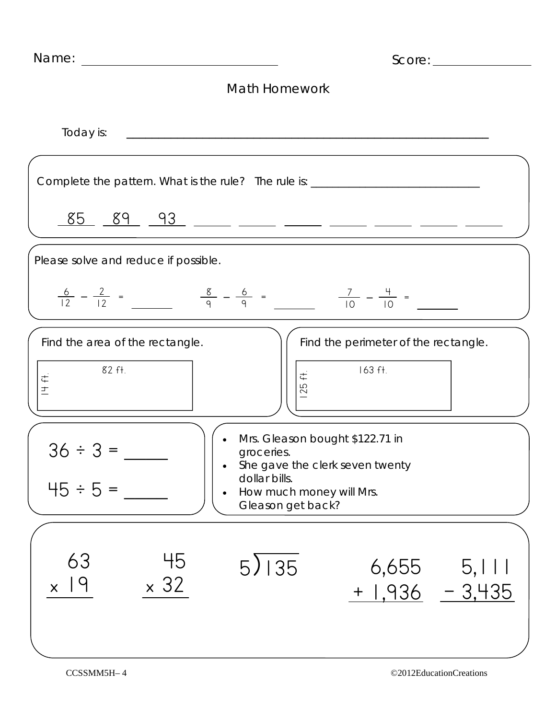| Score:                                                                                    |                                                                                                                                                    |                                                 |  |  |
|-------------------------------------------------------------------------------------------|----------------------------------------------------------------------------------------------------------------------------------------------------|-------------------------------------------------|--|--|
| <b>Math Homework</b>                                                                      |                                                                                                                                                    |                                                 |  |  |
| Today is:                                                                                 |                                                                                                                                                    |                                                 |  |  |
| Complete the pattern. What is the rule? The rule is: ___________________________          |                                                                                                                                                    |                                                 |  |  |
|                                                                                           |                                                                                                                                                    |                                                 |  |  |
| Please solve and reduce if possible.                                                      |                                                                                                                                                    |                                                 |  |  |
| $\frac{6}{12} - \frac{2}{12} = \frac{8}{9} - \frac{6}{9} = \frac{7}{10} - \frac{4}{10} =$ |                                                                                                                                                    |                                                 |  |  |
| Find the area of the rectangle.<br>82 ft.<br>土                                            | $\vec{t}$<br>25                                                                                                                                    | Find the perimeter of the rectangle.<br>163 ft. |  |  |
| <u>JU • J</u><br>$45 ÷ 5 =$<br>$\bullet$                                                  | Mrs. Gleason bought \$122.71 in<br>groceries.<br>She gave the clerk seven twenty<br>dollar bills.<br>How much money will Mrs.<br>Gleason get back? |                                                 |  |  |
| 63<br>45<br>$\times$ 32<br>19<br>$\mathsf{X}^+$                                           | $5\overline{\smash{)}\phantom{}}\,\overline{\phantom{}}\,35$                                                                                       | $6,655$ $5,111$<br>$+ 1,936 - 3,435$            |  |  |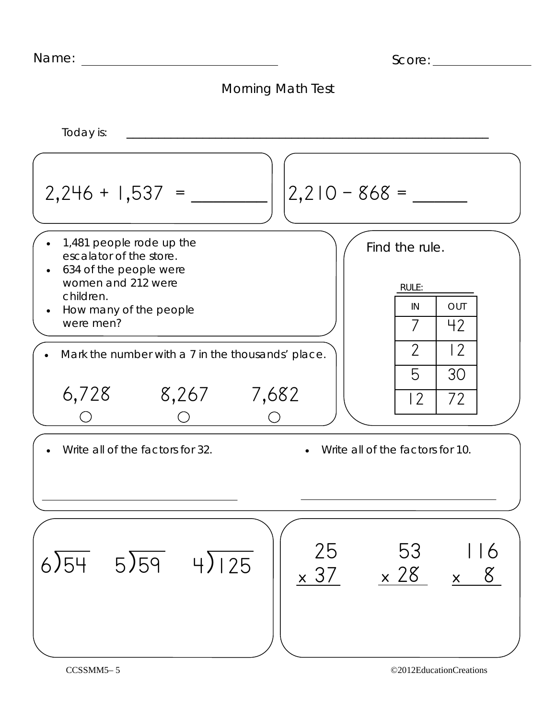